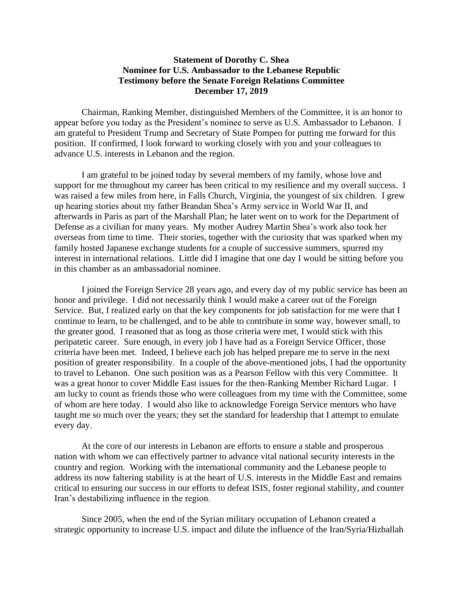## **Statement of Dorothy C. Shea Nominee for U.S. Ambassador to the Lebanese Republic Testimony before the Senate Foreign Relations Committee December 17, 2019**

Chairman, Ranking Member, distinguished Members of the Committee, it is an honor to appear before you today as the President's nominee to serve as U.S. Ambassador to Lebanon. I am grateful to President Trump and Secretary of State Pompeo for putting me forward for this position. If confirmed, I look forward to working closely with you and your colleagues to advance U.S. interests in Lebanon and the region.

I am grateful to be joined today by several members of my family, whose love and support for me throughout my career has been critical to my resilience and my overall success. I was raised a few miles from here, in Falls Church, Virginia, the youngest of six children. I grew up hearing stories about my father Brandan Shea's Army service in World War II, and afterwards in Paris as part of the Marshall Plan; he later went on to work for the Department of Defense as a civilian for many years. My mother Audrey Martin Shea's work also took her overseas from time to time. Their stories, together with the curiosity that was sparked when my family hosted Japanese exchange students for a couple of successive summers, spurred my interest in international relations. Little did I imagine that one day I would be sitting before you in this chamber as an ambassadorial nominee.

I joined the Foreign Service 28 years ago, and every day of my public service has been an honor and privilege. I did not necessarily think I would make a career out of the Foreign Service. But, I realized early on that the key components for job satisfaction for me were that I continue to learn, to be challenged, and to be able to contribute in some way, however small, to the greater good. I reasoned that as long as those criteria were met, I would stick with this peripatetic career. Sure enough, in every job I have had as a Foreign Service Officer, those criteria have been met. Indeed, I believe each job has helped prepare me to serve in the next position of greater responsibility. In a couple of the above-mentioned jobs, I had the opportunity to travel to Lebanon. One such position was as a Pearson Fellow with this very Committee. It was a great honor to cover Middle East issues for the then-Ranking Member Richard Lugar. I am lucky to count as friends those who were colleagues from my time with the Committee, some of whom are here today. I would also like to acknowledge Foreign Service mentors who have taught me so much over the years; they set the standard for leadership that I attempt to emulate every day.

At the core of our interests in Lebanon are efforts to ensure a stable and prosperous nation with whom we can effectively partner to advance vital national security interests in the country and region. Working with the international community and the Lebanese people to address its now faltering stability is at the heart of U.S. interests in the Middle East and remains critical to ensuring our success in our efforts to defeat ISIS, foster regional stability, and counter Iran's destabilizing influence in the region.

Since 2005, when the end of the Syrian military occupation of Lebanon created a strategic opportunity to increase U.S. impact and dilute the influence of the Iran/Syria/Hizballah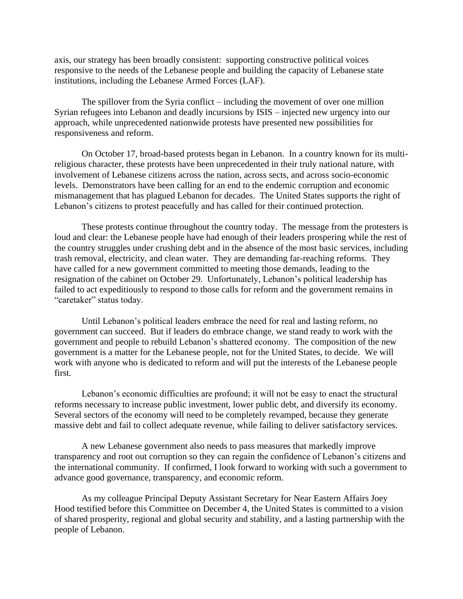axis, our strategy has been broadly consistent: supporting constructive political voices responsive to the needs of the Lebanese people and building the capacity of Lebanese state institutions, including the Lebanese Armed Forces (LAF).

The spillover from the Syria conflict – including the movement of over one million Syrian refugees into Lebanon and deadly incursions by ISIS – injected new urgency into our approach, while unprecedented nationwide protests have presented new possibilities for responsiveness and reform.

On October 17, broad-based protests began in Lebanon. In a country known for its multireligious character, these protests have been unprecedented in their truly national nature, with involvement of Lebanese citizens across the nation, across sects, and across socio-economic levels. Demonstrators have been calling for an end to the endemic corruption and economic mismanagement that has plagued Lebanon for decades. The United States supports the right of Lebanon's citizens to protest peacefully and has called for their continued protection.

These protests continue throughout the country today. The message from the protesters is loud and clear: the Lebanese people have had enough of their leaders prospering while the rest of the country struggles under crushing debt and in the absence of the most basic services, including trash removal, electricity, and clean water. They are demanding far-reaching reforms. They have called for a new government committed to meeting those demands, leading to the resignation of the cabinet on October 29. Unfortunately, Lebanon's political leadership has failed to act expeditiously to respond to those calls for reform and the government remains in "caretaker" status today.

Until Lebanon's political leaders embrace the need for real and lasting reform, no government can succeed. But if leaders do embrace change, we stand ready to work with the government and people to rebuild Lebanon's shattered economy. The composition of the new government is a matter for the Lebanese people, not for the United States, to decide. We will work with anyone who is dedicated to reform and will put the interests of the Lebanese people first.

Lebanon's economic difficulties are profound; it will not be easy to enact the structural reforms necessary to increase public investment, lower public debt, and diversify its economy. Several sectors of the economy will need to be completely revamped, because they generate massive debt and fail to collect adequate revenue, while failing to deliver satisfactory services.

A new Lebanese government also needs to pass measures that markedly improve transparency and root out corruption so they can regain the confidence of Lebanon's citizens and the international community. If confirmed, I look forward to working with such a government to advance good governance, transparency, and economic reform.

As my colleague Principal Deputy Assistant Secretary for Near Eastern Affairs Joey Hood testified before this Committee on December 4, the United States is committed to a vision of shared prosperity, regional and global security and stability, and a lasting partnership with the people of Lebanon.